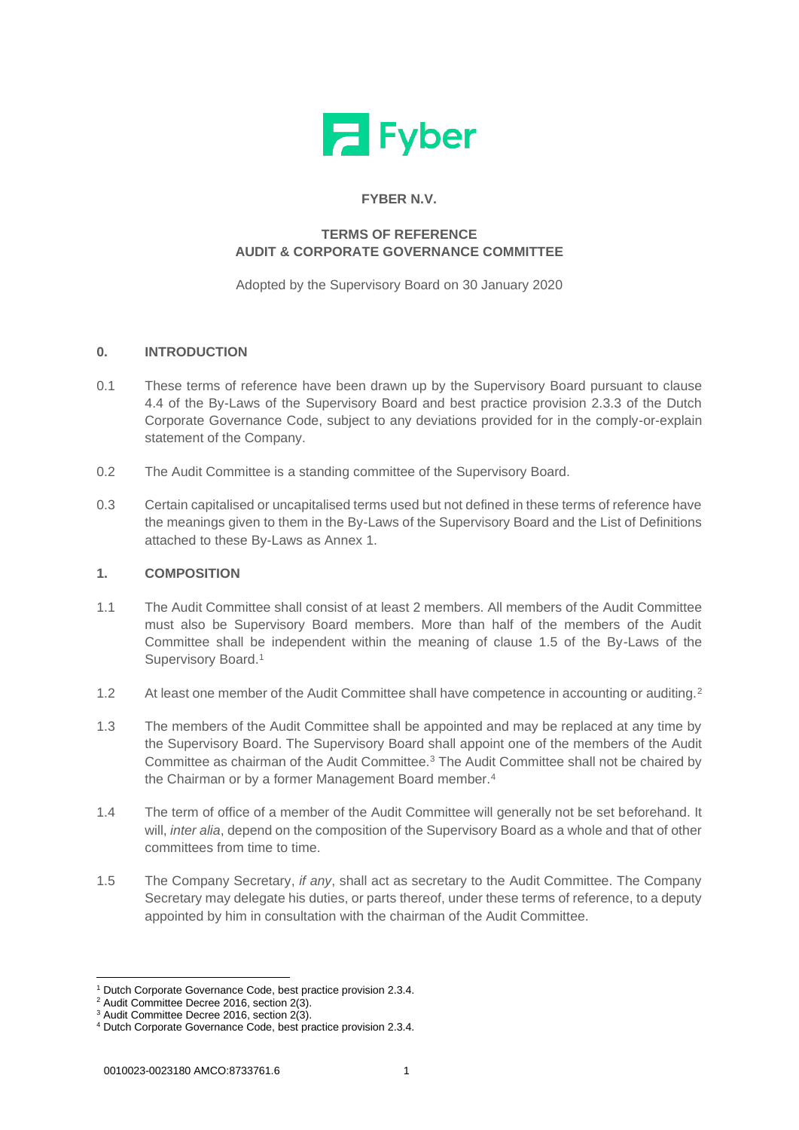

# **FYBER N.V.**

# **TERMS OF REFERENCE AUDIT & CORPORATE GOVERNANCE COMMITTEE**

Adopted by the Supervisory Board on 30 January 2020

## **0. INTRODUCTION**

- 0.1 These terms of reference have been drawn up by the Supervisory Board pursuant to clause 4.4 of the By-Laws of the Supervisory Board and best practice provision 2.3.3 of the Dutch Corporate Governance Code, subject to any deviations provided for in the comply-or-explain statement of the Company.
- 0.2 The Audit Committee is a standing committee of the Supervisory Board.
- 0.3 Certain capitalised or uncapitalised terms used but not defined in these terms of reference have the meanings given to them in the By-Laws of the Supervisory Board and the List of Definitions attached to these By-Laws as Annex 1.

## **1. COMPOSITION**

- 1.1 The Audit Committee shall consist of at least 2 members. All members of the Audit Committee must also be Supervisory Board members. More than half of the members of the Audit Committee shall be independent within the meaning of clause 1.5 of the By-Laws of the Supervisory Board.<sup>1</sup>
- 1.2 At least one member of the Audit Committee shall have competence in accounting or auditing.<sup>2</sup>
- 1.3 The members of the Audit Committee shall be appointed and may be replaced at any time by the Supervisory Board. The Supervisory Board shall appoint one of the members of the Audit Committee as chairman of the Audit Committee.<sup>3</sup> The Audit Committee shall not be chaired by the Chairman or by a former Management Board member.<sup>4</sup>
- 1.4 The term of office of a member of the Audit Committee will generally not be set beforehand. It will, *inter alia*, depend on the composition of the Supervisory Board as a whole and that of other committees from time to time.
- 1.5 The Company Secretary, *if any*, shall act as secretary to the Audit Committee. The Company Secretary may delegate his duties, or parts thereof, under these terms of reference, to a deputy appointed by him in consultation with the chairman of the Audit Committee.

<sup>1</sup> Dutch Corporate Governance Code, best practice provision 2.3.4.

<sup>&</sup>lt;sup>2</sup> Audit Committee Decree 2016, section 2(3).

<sup>&</sup>lt;sup>3</sup> Audit Committee Decree 2016, section 2(3).

<sup>4</sup> Dutch Corporate Governance Code, best practice provision 2.3.4.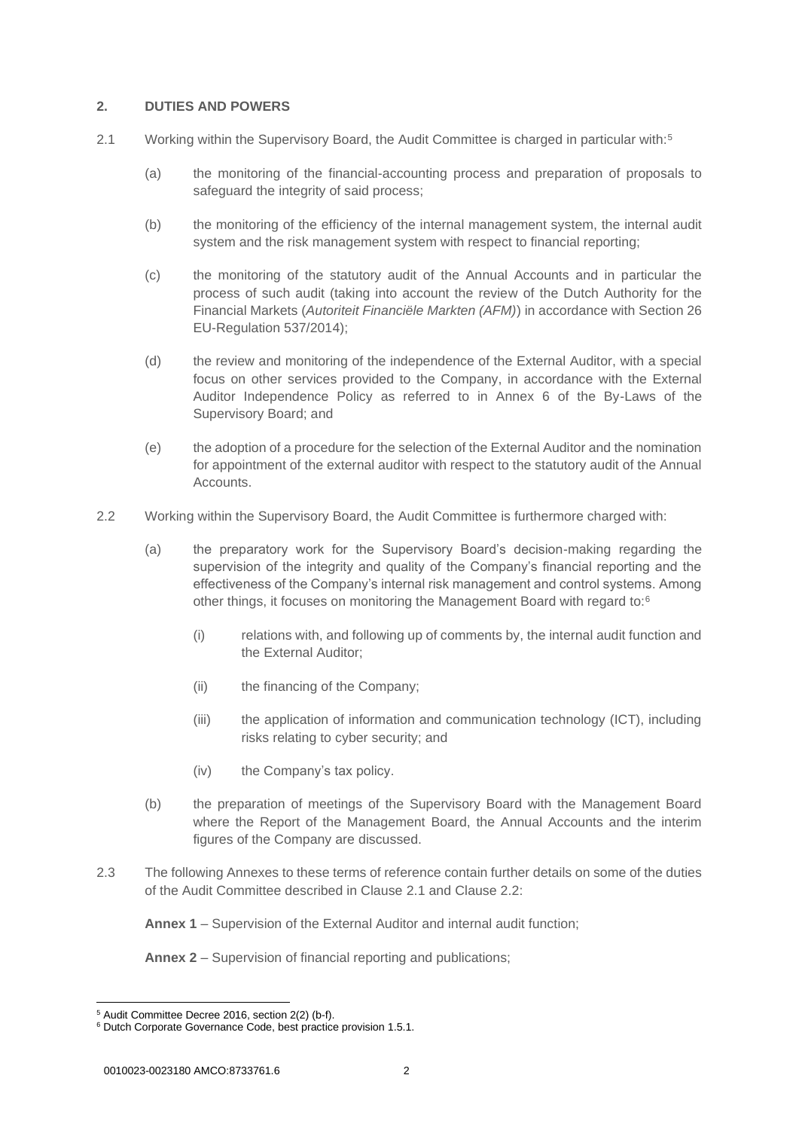## <span id="page-1-0"></span>**2. DUTIES AND POWERS**

- 2.1 Working within the Supervisory Board, the Audit Committee is charged in particular with:<sup>5</sup>
	- (a) the monitoring of the financial-accounting process and preparation of proposals to safeguard the integrity of said process;
	- (b) the monitoring of the efficiency of the internal management system, the internal audit system and the risk management system with respect to financial reporting;
	- (c) the monitoring of the statutory audit of the Annual Accounts and in particular the process of such audit (taking into account the review of the Dutch Authority for the Financial Markets (*Autoriteit Financiële Markten (AFM)*) in accordance with Section 26 EU-Regulation 537/2014);
	- (d) the review and monitoring of the independence of the External Auditor, with a special focus on other services provided to the Company, in accordance with the External Auditor Independence Policy as referred to in Annex 6 of the By-Laws of the Supervisory Board; and
	- (e) the adoption of a procedure for the selection of the External Auditor and the nomination for appointment of the external auditor with respect to the statutory audit of the Annual Accounts.
- <span id="page-1-1"></span>2.2 Working within the Supervisory Board, the Audit Committee is furthermore charged with:
	- (a) the preparatory work for the Supervisory Board's decision-making regarding the supervision of the integrity and quality of the Company's financial reporting and the effectiveness of the Company's internal risk management and control systems. Among other things, it focuses on monitoring the Management Board with regard to:<sup>6</sup>
		- (i) relations with, and following up of comments by, the internal audit function and the External Auditor;
		- (ii) the financing of the Company;
		- (iii) the application of information and communication technology (ICT), including risks relating to cyber security; and
		- (iv) the Company's tax policy.
	- (b) the preparation of meetings of the Supervisory Board with the Management Board where the Report of the Management Board, the Annual Accounts and the interim figures of the Company are discussed.
- 2.3 The following Annexes to these terms of reference contain further details on some of the duties of the Audit Committee described in Clause [2.1](#page-1-0) and Clause [2.2:](#page-1-1)

**[Annex 1](#page-6-0)** – Supervision of the External Auditor and internal audit function;

**[Annex 2](#page-8-0)** – Supervision of financial reporting and publications;

<sup>5</sup> Audit Committee Decree 2016, section 2(2) (b-f).

<sup>6</sup> Dutch Corporate Governance Code, best practice provision 1.5.1.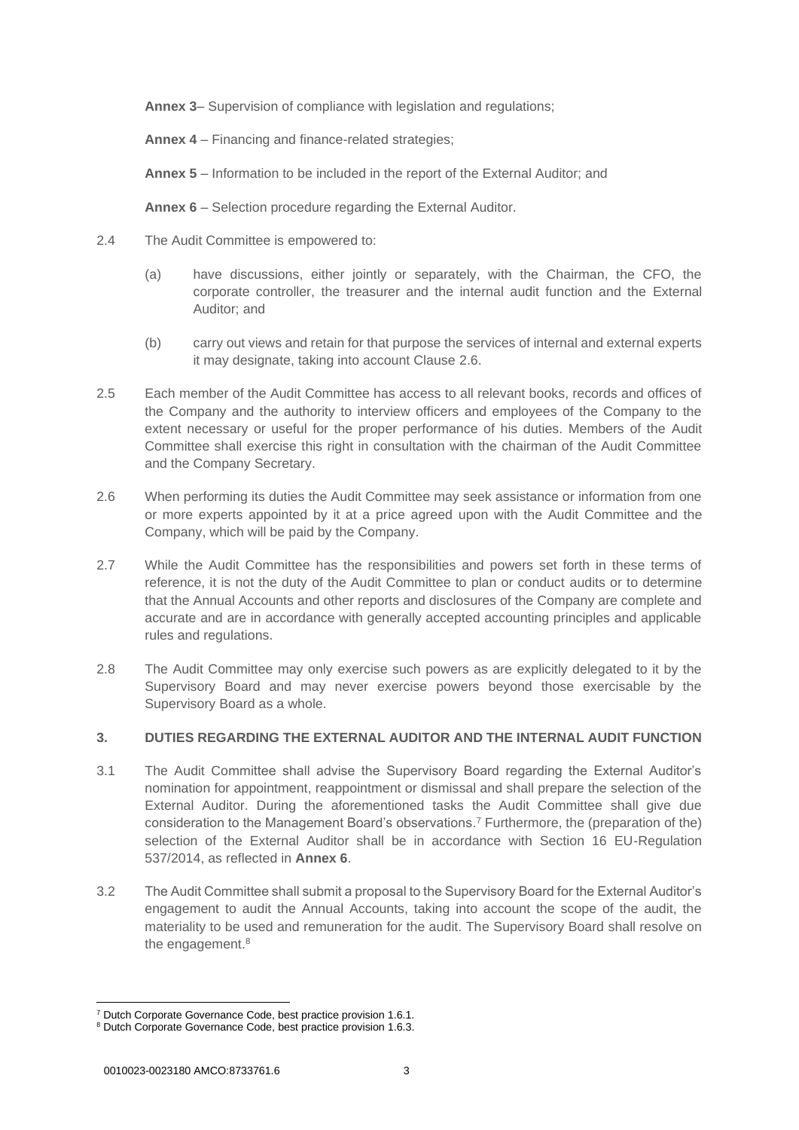**[Annex 3](#page-9-0)**– Supervision of compliance with legislation and regulations;

**[Annex 4](#page-10-0)** – Financing and finance-related strategies;

**[Annex 5](#page-11-0)** – Information to be included in the report of the External Auditor; and

**[Annex 6](#page-12-0)** – Selection procedure regarding the External Auditor.

- 2.4 The Audit Committee is empowered to:
	- (a) have discussions, either jointly or separately, with the Chairman, the CFO, the corporate controller, the treasurer and the internal audit function and the External Auditor; and
	- (b) carry out views and retain for that purpose the services of internal and external experts it may designate, taking into account Clause [2.6.](#page-2-0)
- 2.5 Each member of the Audit Committee has access to all relevant books, records and offices of the Company and the authority to interview officers and employees of the Company to the extent necessary or useful for the proper performance of his duties. Members of the Audit Committee shall exercise this right in consultation with the chairman of the Audit Committee and the Company Secretary.
- <span id="page-2-0"></span>2.6 When performing its duties the Audit Committee may seek assistance or information from one or more experts appointed by it at a price agreed upon with the Audit Committee and the Company, which will be paid by the Company.
- 2.7 While the Audit Committee has the responsibilities and powers set forth in these terms of reference, it is not the duty of the Audit Committee to plan or conduct audits or to determine that the Annual Accounts and other reports and disclosures of the Company are complete and accurate and are in accordance with generally accepted accounting principles and applicable rules and regulations.
- 2.8 The Audit Committee may only exercise such powers as are explicitly delegated to it by the Supervisory Board and may never exercise powers beyond those exercisable by the Supervisory Board as a whole.

# <span id="page-2-1"></span>**3. DUTIES REGARDING THE EXTERNAL AUDITOR AND THE INTERNAL AUDIT FUNCTION**

- 3.1 The Audit Committee shall advise the Supervisory Board regarding the External Auditor's nomination for appointment, reappointment or dismissal and shall prepare the selection of the External Auditor. During the aforementioned tasks the Audit Committee shall give due consideration to the Management Board's observations.<sup>7</sup> Furthermore, the (preparation of the) selection of the External Auditor shall be in accordance with Section 16 EU-Regulation 537/2014, as reflected in **[Annex 6](#page-12-0)**.
- 3.2 The Audit Committee shall submit a proposal to the Supervisory Board for the External Auditor's engagement to audit the Annual Accounts, taking into account the scope of the audit, the materiality to be used and remuneration for the audit. The Supervisory Board shall resolve on the engagement.<sup>8</sup>

<sup>7</sup> Dutch Corporate Governance Code, best practice provision 1.6.1.

<sup>&</sup>lt;sup>8</sup> Dutch Corporate Governance Code, best practice provision 1.6.3.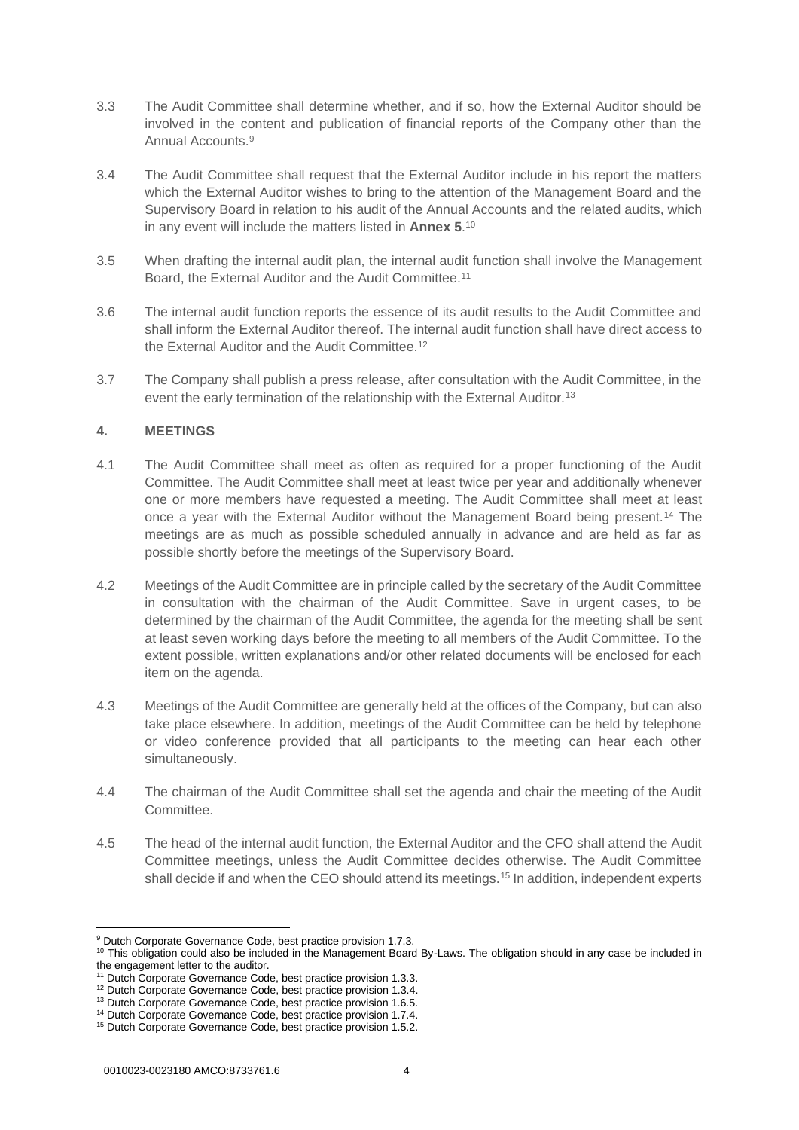- 3.3 The Audit Committee shall determine whether, and if so, how the External Auditor should be involved in the content and publication of financial reports of the Company other than the Annual Accounts.<sup>9</sup>
- 3.4 The Audit Committee shall request that the External Auditor include in his report the matters which the External Auditor wishes to bring to the attention of the Management Board and the Supervisory Board in relation to his audit of the Annual Accounts and the related audits, which in any event will include the matters listed in **[Annex 5](#page-11-0)**. 10
- 3.5 When drafting the internal audit plan, the internal audit function shall involve the Management Board, the External Auditor and the Audit Committee.<sup>11</sup>
- 3.6 The internal audit function reports the essence of its audit results to the Audit Committee and shall inform the External Auditor thereof. The internal audit function shall have direct access to the External Auditor and the Audit Committee.<sup>12</sup>
- 3.7 The Company shall publish a press release, after consultation with the Audit Committee, in the event the early termination of the relationship with the External Auditor.<sup>13</sup>

## **4. MEETINGS**

- 4.1 The Audit Committee shall meet as often as required for a proper functioning of the Audit Committee. The Audit Committee shall meet at least twice per year and additionally whenever one or more members have requested a meeting. The Audit Committee shall meet at least once a year with the External Auditor without the Management Board being present.<sup>14</sup> The meetings are as much as possible scheduled annually in advance and are held as far as possible shortly before the meetings of the Supervisory Board.
- 4.2 Meetings of the Audit Committee are in principle called by the secretary of the Audit Committee in consultation with the chairman of the Audit Committee. Save in urgent cases, to be determined by the chairman of the Audit Committee, the agenda for the meeting shall be sent at least seven working days before the meeting to all members of the Audit Committee. To the extent possible, written explanations and/or other related documents will be enclosed for each item on the agenda.
- 4.3 Meetings of the Audit Committee are generally held at the offices of the Company, but can also take place elsewhere. In addition, meetings of the Audit Committee can be held by telephone or video conference provided that all participants to the meeting can hear each other simultaneously.
- 4.4 The chairman of the Audit Committee shall set the agenda and chair the meeting of the Audit **Committee**
- 4.5 The head of the internal audit function, the External Auditor and the CFO shall attend the Audit Committee meetings, unless the Audit Committee decides otherwise. The Audit Committee shall decide if and when the CEO should attend its meetings.<sup>15</sup> In addition, independent experts

<sup>&</sup>lt;sup>9</sup> Dutch Corporate Governance Code, best practice provision 1.7.3.

<sup>10</sup> This obligation could also be included in the Management Board By-Laws. The obligation should in any case be included in the engagement letter to the auditor.

<sup>11</sup> Dutch Corporate Governance Code, best practice provision 1.3.3.

<sup>12</sup> Dutch Corporate Governance Code, best practice provision 1.3.4.

<sup>&</sup>lt;sup>13</sup> Dutch Corporate Governance Code, best practice provision 1.6.5.

<sup>14</sup> Dutch Corporate Governance Code, best practice provision 1.7.4.

<sup>&</sup>lt;sup>15</sup> Dutch Corporate Governance Code, best practice provision 1.5.2.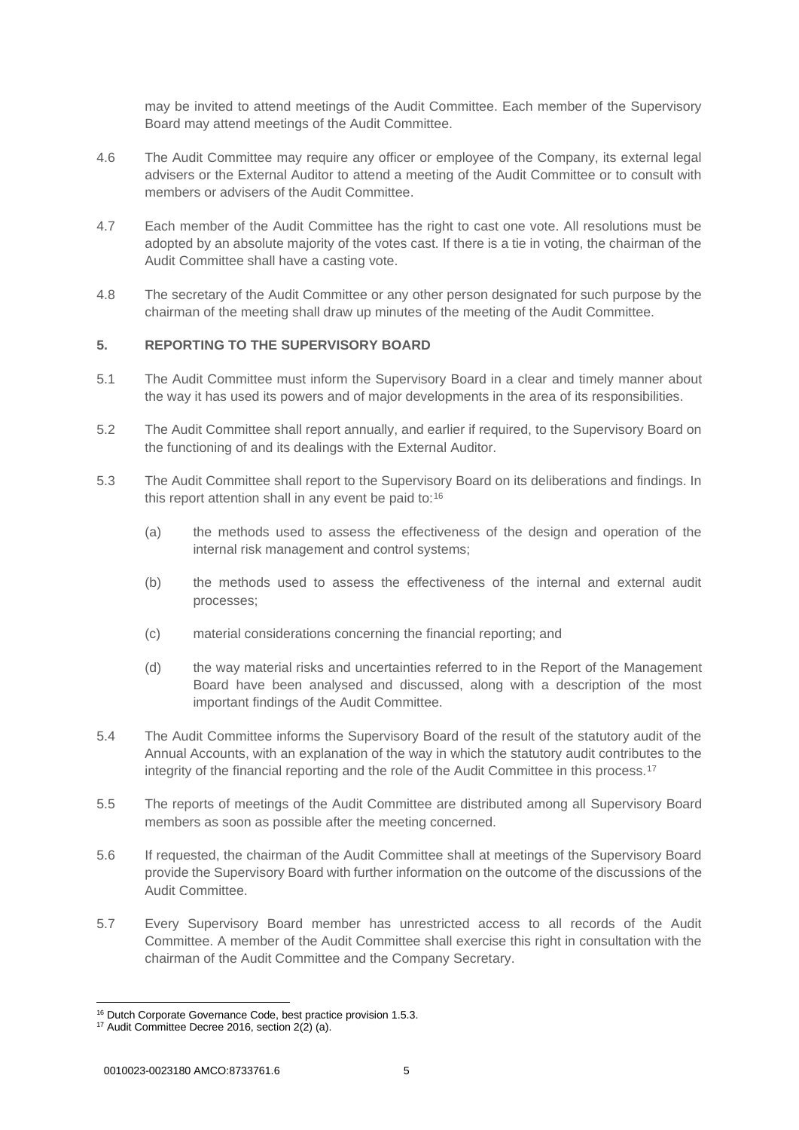may be invited to attend meetings of the Audit Committee. Each member of the Supervisory Board may attend meetings of the Audit Committee.

- 4.6 The Audit Committee may require any officer or employee of the Company, its external legal advisers or the External Auditor to attend a meeting of the Audit Committee or to consult with members or advisers of the Audit Committee.
- 4.7 Each member of the Audit Committee has the right to cast one vote. All resolutions must be adopted by an absolute majority of the votes cast. If there is a tie in voting, the chairman of the Audit Committee shall have a casting vote.
- 4.8 The secretary of the Audit Committee or any other person designated for such purpose by the chairman of the meeting shall draw up minutes of the meeting of the Audit Committee.

# **5. REPORTING TO THE SUPERVISORY BOARD**

- 5.1 The Audit Committee must inform the Supervisory Board in a clear and timely manner about the way it has used its powers and of major developments in the area of its responsibilities.
- 5.2 The Audit Committee shall report annually, and earlier if required, to the Supervisory Board on the functioning of and its dealings with the External Auditor.
- 5.3 The Audit Committee shall report to the Supervisory Board on its deliberations and findings. In this report attention shall in any event be paid to:<sup>16</sup>
	- (a) the methods used to assess the effectiveness of the design and operation of the internal risk management and control systems;
	- (b) the methods used to assess the effectiveness of the internal and external audit processes;
	- (c) material considerations concerning the financial reporting; and
	- (d) the way material risks and uncertainties referred to in the Report of the Management Board have been analysed and discussed, along with a description of the most important findings of the Audit Committee.
- 5.4 The Audit Committee informs the Supervisory Board of the result of the statutory audit of the Annual Accounts, with an explanation of the way in which the statutory audit contributes to the integrity of the financial reporting and the role of the Audit Committee in this process.<sup>17</sup>
- 5.5 The reports of meetings of the Audit Committee are distributed among all Supervisory Board members as soon as possible after the meeting concerned.
- 5.6 If requested, the chairman of the Audit Committee shall at meetings of the Supervisory Board provide the Supervisory Board with further information on the outcome of the discussions of the Audit Committee.
- 5.7 Every Supervisory Board member has unrestricted access to all records of the Audit Committee. A member of the Audit Committee shall exercise this right in consultation with the chairman of the Audit Committee and the Company Secretary.

<sup>&</sup>lt;sup>16</sup> Dutch Corporate Governance Code, best practice provision 1.5.3.

<sup>&</sup>lt;sup>17</sup> Audit Committee Decree 2016, section 2(2) (a).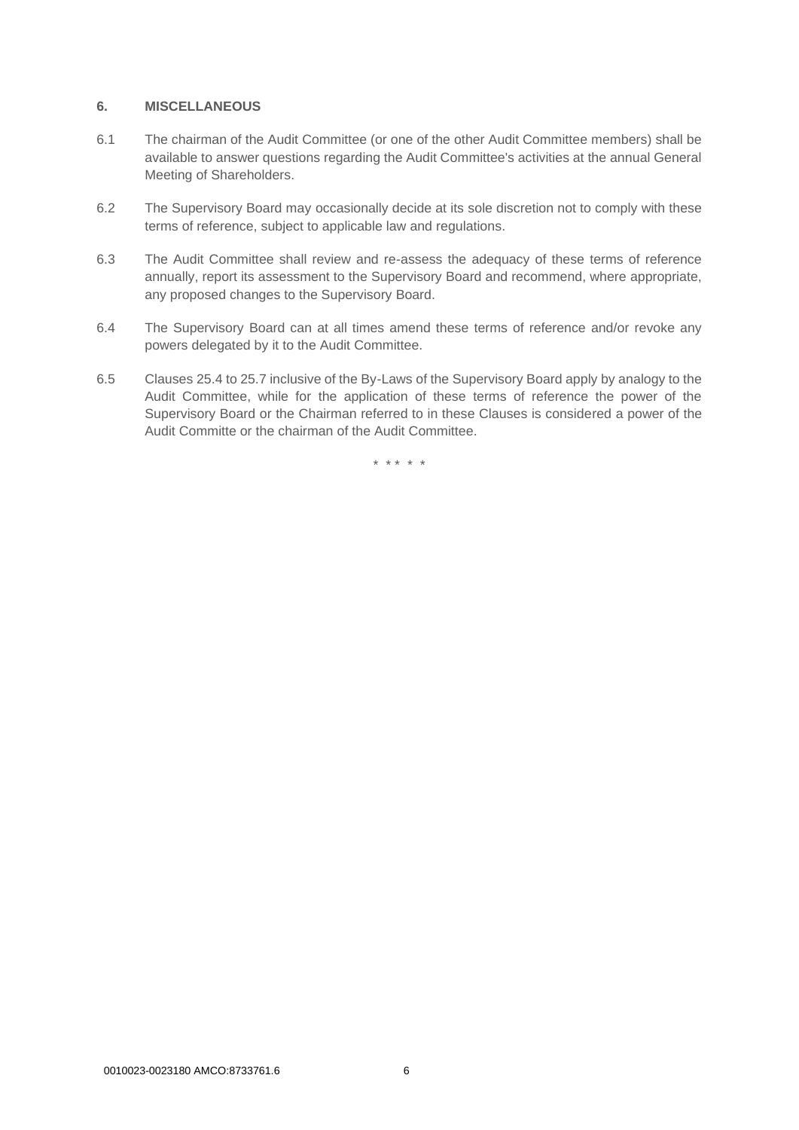### **6. MISCELLANEOUS**

- 6.1 The chairman of the Audit Committee (or one of the other Audit Committee members) shall be available to answer questions regarding the Audit Committee's activities at the annual General Meeting of Shareholders.
- 6.2 The Supervisory Board may occasionally decide at its sole discretion not to comply with these terms of reference, subject to applicable law and regulations.
- 6.3 The Audit Committee shall review and re-assess the adequacy of these terms of reference annually, report its assessment to the Supervisory Board and recommend, where appropriate, any proposed changes to the Supervisory Board.
- 6.4 The Supervisory Board can at all times amend these terms of reference and/or revoke any powers delegated by it to the Audit Committee.
- 6.5 Clauses 25.4 to 25.7 inclusive of the By-Laws of the Supervisory Board apply by analogy to the Audit Committee, while for the application of these terms of reference the power of the Supervisory Board or the Chairman referred to in these Clauses is considered a power of the Audit Committe or the chairman of the Audit Committee.

\* \* \* \* \*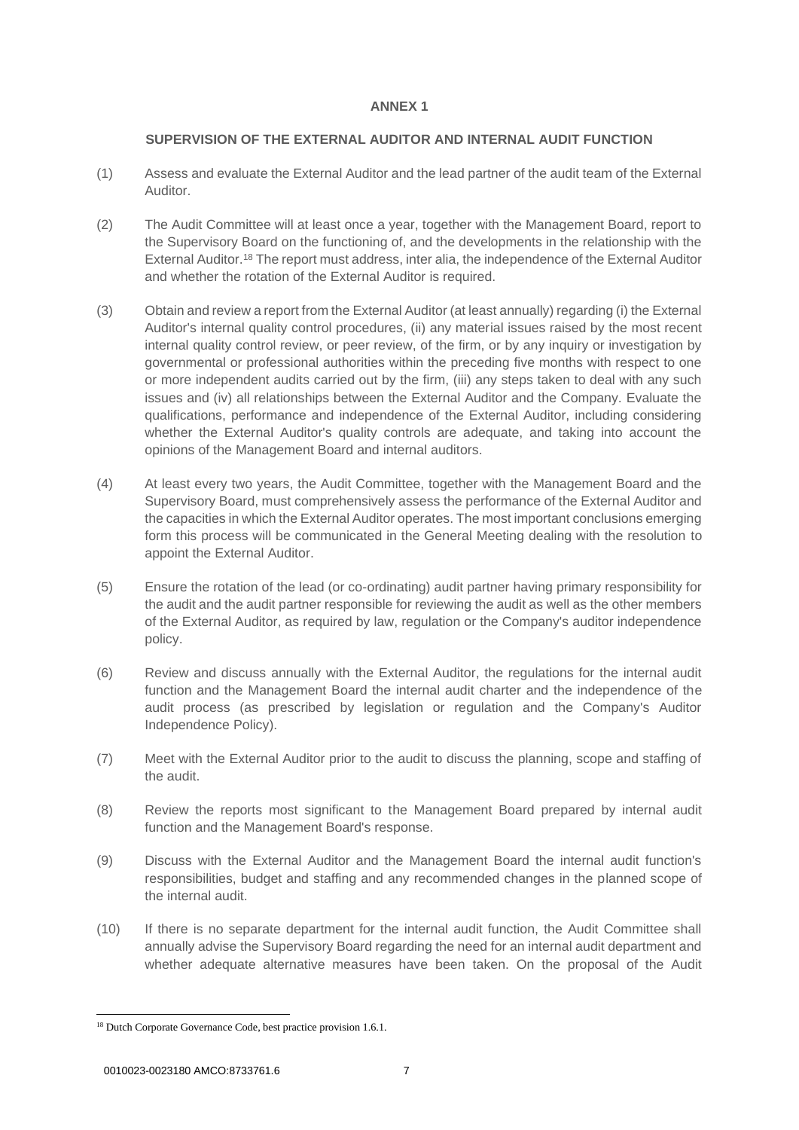## <span id="page-6-0"></span>**SUPERVISION OF THE EXTERNAL AUDITOR AND INTERNAL AUDIT FUNCTION**

- (1) Assess and evaluate the External Auditor and the lead partner of the audit team of the External Auditor.
- (2) The Audit Committee will at least once a year, together with the Management Board, report to the Supervisory Board on the functioning of, and the developments in the relationship with the External Auditor.<sup>18</sup> The report must address, inter alia, the independence of the External Auditor and whether the rotation of the External Auditor is required.
- (3) Obtain and review a report from the External Auditor (at least annually) regarding (i) the External Auditor's internal quality control procedures, (ii) any material issues raised by the most recent internal quality control review, or peer review, of the firm, or by any inquiry or investigation by governmental or professional authorities within the preceding five months with respect to one or more independent audits carried out by the firm, (iii) any steps taken to deal with any such issues and (iv) all relationships between the External Auditor and the Company. Evaluate the qualifications, performance and independence of the External Auditor, including considering whether the External Auditor's quality controls are adequate, and taking into account the opinions of the Management Board and internal auditors.
- (4) At least every two years, the Audit Committee, together with the Management Board and the Supervisory Board, must comprehensively assess the performance of the External Auditor and the capacities in which the External Auditor operates. The most important conclusions emerging form this process will be communicated in the General Meeting dealing with the resolution to appoint the External Auditor.
- (5) Ensure the rotation of the lead (or co-ordinating) audit partner having primary responsibility for the audit and the audit partner responsible for reviewing the audit as well as the other members of the External Auditor, as required by law, regulation or the Company's auditor independence policy.
- (6) Review and discuss annually with the External Auditor, the regulations for the internal audit function and the Management Board the internal audit charter and the independence of the audit process (as prescribed by legislation or regulation and the Company's Auditor Independence Policy).
- (7) Meet with the External Auditor prior to the audit to discuss the planning, scope and staffing of the audit.
- (8) Review the reports most significant to the Management Board prepared by internal audit function and the Management Board's response.
- (9) Discuss with the External Auditor and the Management Board the internal audit function's responsibilities, budget and staffing and any recommended changes in the planned scope of the internal audit.
- (10) If there is no separate department for the internal audit function, the Audit Committee shall annually advise the Supervisory Board regarding the need for an internal audit department and whether adequate alternative measures have been taken. On the proposal of the Audit

<sup>&</sup>lt;sup>18</sup> Dutch Corporate Governance Code, best practice provision 1.6.1.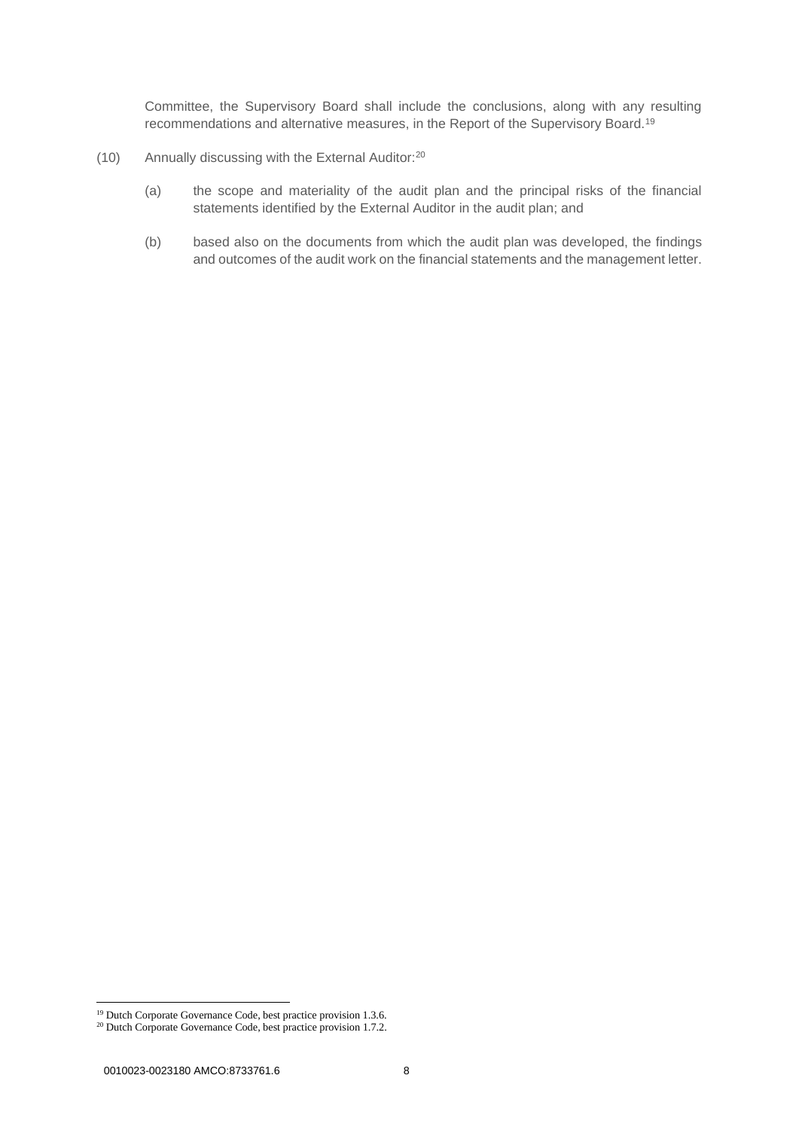Committee, the Supervisory Board shall include the conclusions, along with any resulting recommendations and alternative measures, in the Report of the Supervisory Board.<sup>19</sup>

- (10) Annually discussing with the External Auditor:<sup>20</sup>
	- (a) the scope and materiality of the audit plan and the principal risks of the financial statements identified by the External Auditor in the audit plan; and
	- (b) based also on the documents from which the audit plan was developed, the findings and outcomes of the audit work on the financial statements and the management letter.

<sup>&</sup>lt;sup>19</sup> Dutch Corporate Governance Code, best practice provision 1.3.6.

<sup>&</sup>lt;sup>20</sup> Dutch Corporate Governance Code, best practice provision 1.7.2.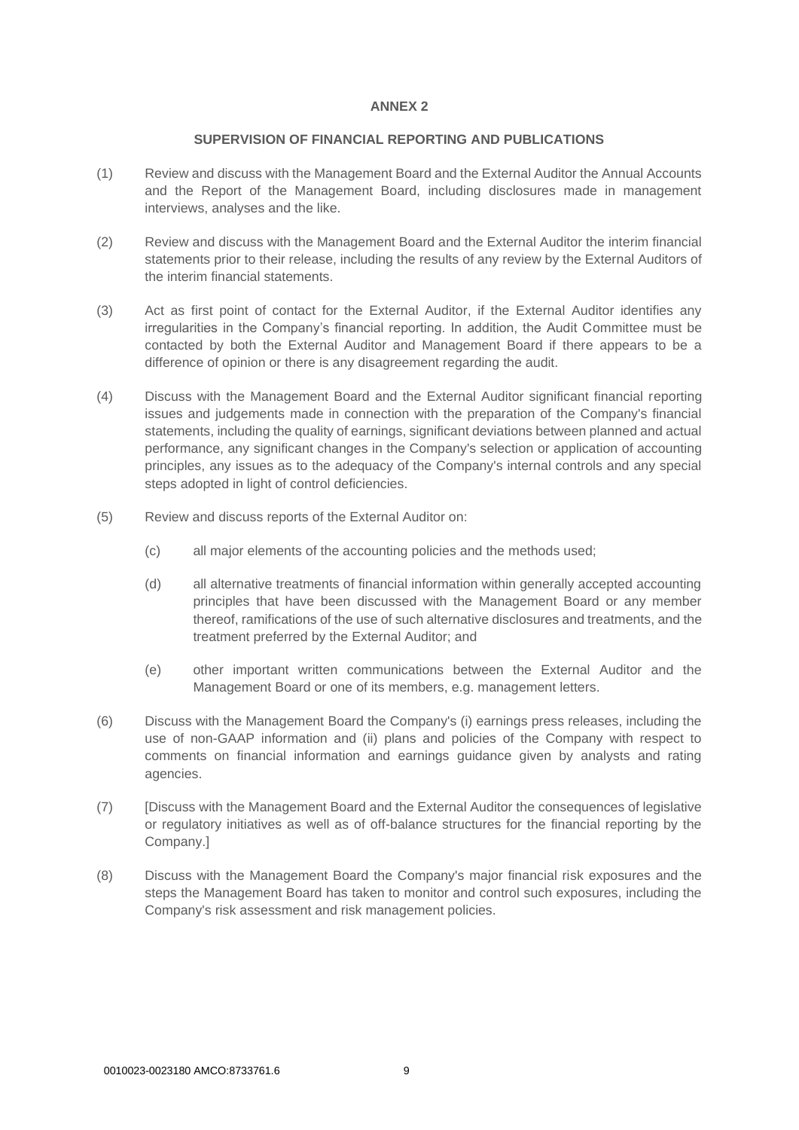#### **SUPERVISION OF FINANCIAL REPORTING AND PUBLICATIONS**

- <span id="page-8-0"></span>(1) Review and discuss with the Management Board and the External Auditor the Annual Accounts and the Report of the Management Board, including disclosures made in management interviews, analyses and the like.
- (2) Review and discuss with the Management Board and the External Auditor the interim financial statements prior to their release, including the results of any review by the External Auditors of the interim financial statements.
- (3) Act as first point of contact for the External Auditor, if the External Auditor identifies any irregularities in the Company's financial reporting. In addition, the Audit Committee must be contacted by both the External Auditor and Management Board if there appears to be a difference of opinion or there is any disagreement regarding the audit.
- (4) Discuss with the Management Board and the External Auditor significant financial reporting issues and judgements made in connection with the preparation of the Company's financial statements, including the quality of earnings, significant deviations between planned and actual performance, any significant changes in the Company's selection or application of accounting principles, any issues as to the adequacy of the Company's internal controls and any special steps adopted in light of control deficiencies.
- (5) Review and discuss reports of the External Auditor on:
	- (c) all major elements of the accounting policies and the methods used;
	- (d) all alternative treatments of financial information within generally accepted accounting principles that have been discussed with the Management Board or any member thereof, ramifications of the use of such alternative disclosures and treatments, and the treatment preferred by the External Auditor; and
	- (e) other important written communications between the External Auditor and the Management Board or one of its members, e.g. management letters.
- (6) Discuss with the Management Board the Company's (i) earnings press releases, including the use of non-GAAP information and (ii) plans and policies of the Company with respect to comments on financial information and earnings guidance given by analysts and rating agencies.
- (7) [Discuss with the Management Board and the External Auditor the consequences of legislative or regulatory initiatives as well as of off-balance structures for the financial reporting by the Company.]
- (8) Discuss with the Management Board the Company's major financial risk exposures and the steps the Management Board has taken to monitor and control such exposures, including the Company's risk assessment and risk management policies.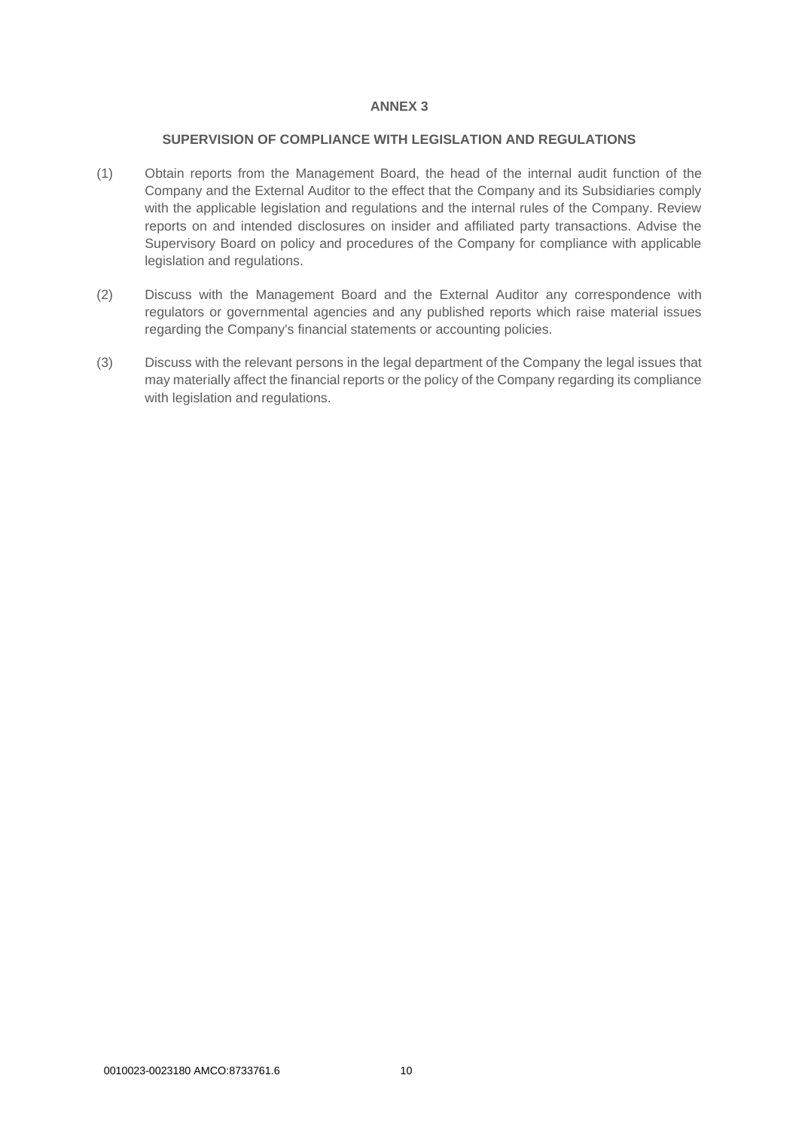### **SUPERVISION OF COMPLIANCE WITH LEGISLATION AND REGULATIONS**

- <span id="page-9-0"></span>(1) Obtain reports from the Management Board, the head of the internal audit function of the Company and the External Auditor to the effect that the Company and its Subsidiaries comply with the applicable legislation and regulations and the internal rules of the Company. Review reports on and intended disclosures on insider and affiliated party transactions. Advise the Supervisory Board on policy and procedures of the Company for compliance with applicable legislation and regulations.
- (2) Discuss with the Management Board and the External Auditor any correspondence with regulators or governmental agencies and any published reports which raise material issues regarding the Company's financial statements or accounting policies.
- (3) Discuss with the relevant persons in the legal department of the Company the legal issues that may materially affect the financial reports or the policy of the Company regarding its compliance with legislation and regulations.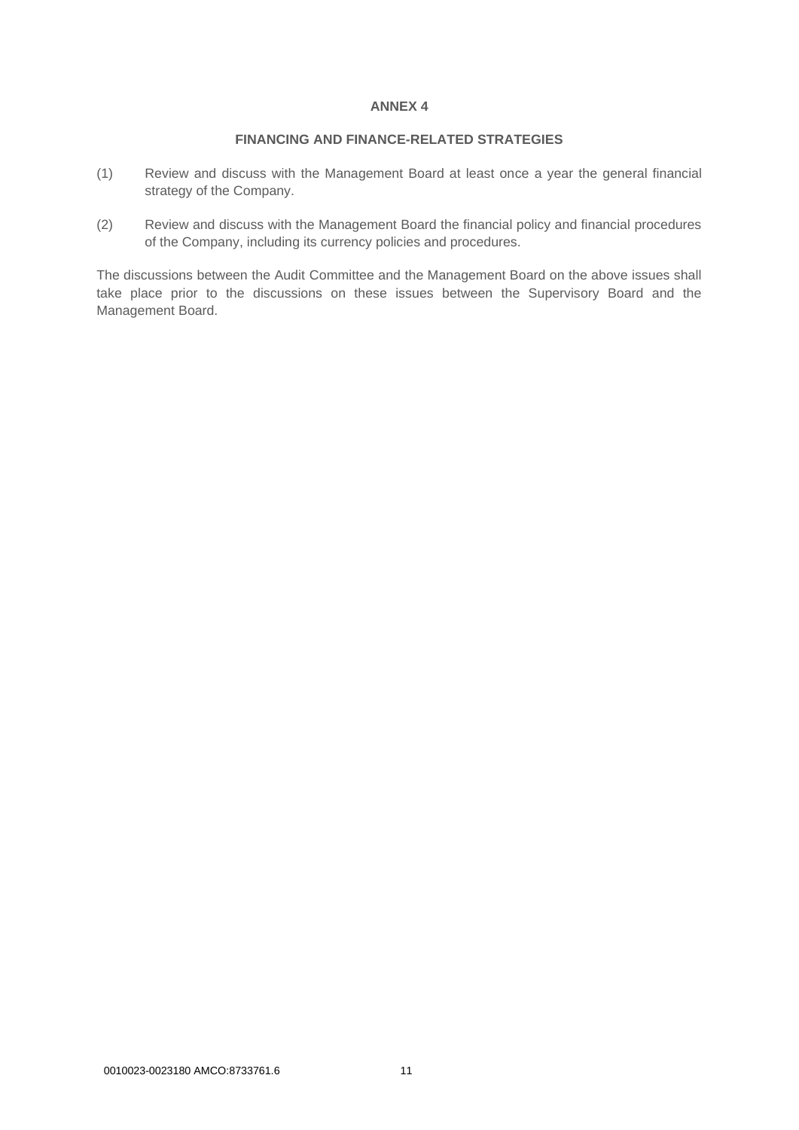# **FINANCING AND FINANCE-RELATED STRATEGIES**

- <span id="page-10-0"></span>(1) Review and discuss with the Management Board at least once a year the general financial strategy of the Company.
- (2) Review and discuss with the Management Board the financial policy and financial procedures of the Company, including its currency policies and procedures.

The discussions between the Audit Committee and the Management Board on the above issues shall take place prior to the discussions on these issues between the Supervisory Board and the Management Board.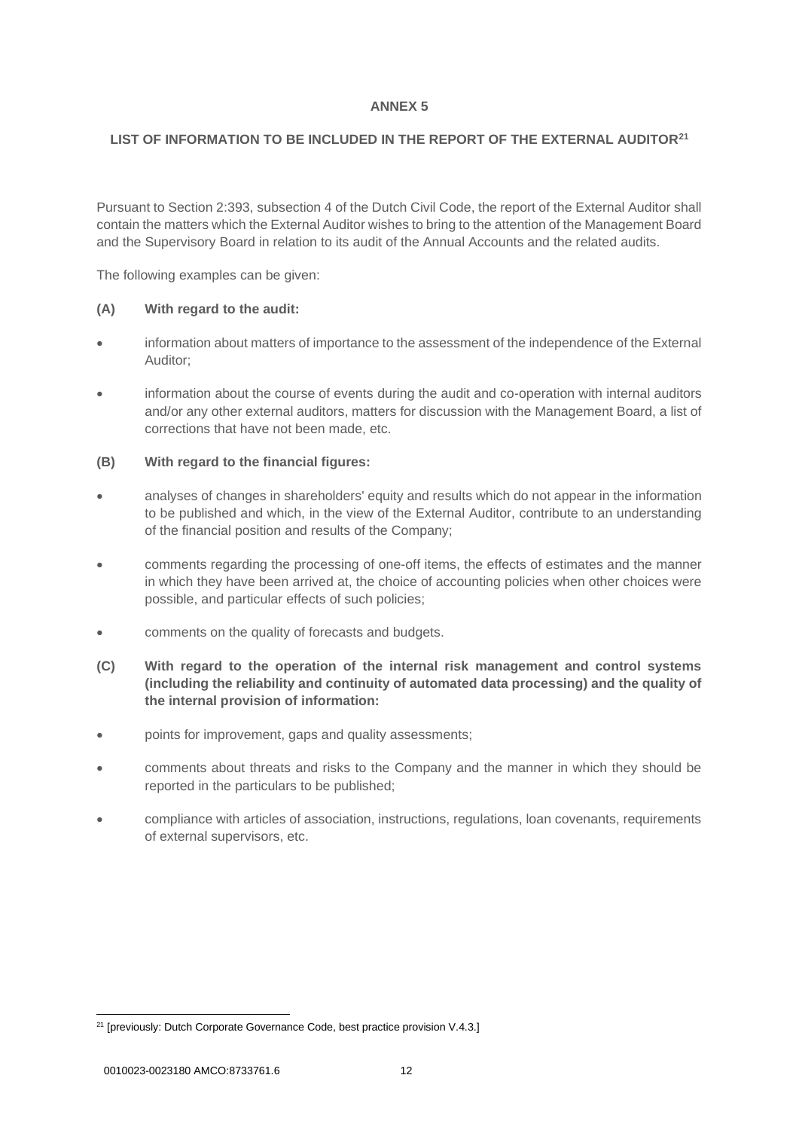# <span id="page-11-0"></span>**LIST OF INFORMATION TO BE INCLUDED IN THE REPORT OF THE EXTERNAL AUDITOR<sup>21</sup>**

Pursuant to Section 2:393, subsection 4 of the Dutch Civil Code, the report of the External Auditor shall contain the matters which the External Auditor wishes to bring to the attention of the Management Board and the Supervisory Board in relation to its audit of the Annual Accounts and the related audits.

The following examples can be given:

# **(A) With regard to the audit:**

- information about matters of importance to the assessment of the independence of the External Auditor;
- information about the course of events during the audit and co-operation with internal auditors and/or any other external auditors, matters for discussion with the Management Board, a list of corrections that have not been made, etc.

# **(B) With regard to the financial figures:**

- analyses of changes in shareholders' equity and results which do not appear in the information to be published and which, in the view of the External Auditor, contribute to an understanding of the financial position and results of the Company;
- comments regarding the processing of one-off items, the effects of estimates and the manner in which they have been arrived at, the choice of accounting policies when other choices were possible, and particular effects of such policies;
- comments on the quality of forecasts and budgets.
- **(C) With regard to the operation of the internal risk management and control systems (including the reliability and continuity of automated data processing) and the quality of the internal provision of information:**
- points for improvement, gaps and quality assessments;
- comments about threats and risks to the Company and the manner in which they should be reported in the particulars to be published;
- compliance with articles of association, instructions, regulations, loan covenants, requirements of external supervisors, etc.

<sup>&</sup>lt;sup>21</sup> [previously: Dutch Corporate Governance Code, best practice provision V.4.3.]